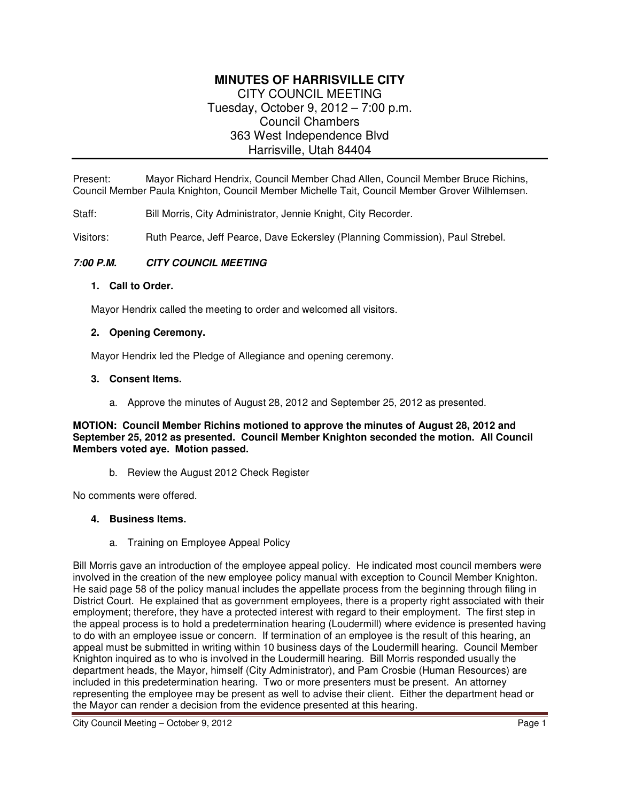# **MINUTES OF HARRISVILLE CITY**  CITY COUNCIL MEETING Tuesday, October 9, 2012 – 7:00 p.m. Council Chambers 363 West Independence Blvd Harrisville, Utah 84404

Present: Mayor Richard Hendrix, Council Member Chad Allen, Council Member Bruce Richins, Council Member Paula Knighton, Council Member Michelle Tait, Council Member Grover Wilhlemsen.

Staff: Bill Morris, City Administrator, Jennie Knight, City Recorder.

Visitors: Ruth Pearce, Jeff Pearce, Dave Eckersley (Planning Commission), Paul Strebel.

### **7:00 P.M. CITY COUNCIL MEETING**

#### **1. Call to Order.**

Mayor Hendrix called the meeting to order and welcomed all visitors.

#### **2. Opening Ceremony.**

Mayor Hendrix led the Pledge of Allegiance and opening ceremony.

#### **3. Consent Items.**

a. Approve the minutes of August 28, 2012 and September 25, 2012 as presented.

#### **MOTION: Council Member Richins motioned to approve the minutes of August 28, 2012 and September 25, 2012 as presented. Council Member Knighton seconded the motion. All Council Members voted aye. Motion passed.**

b. Review the August 2012 Check Register

No comments were offered.

#### **4. Business Items.**

a. Training on Employee Appeal Policy

Bill Morris gave an introduction of the employee appeal policy. He indicated most council members were involved in the creation of the new employee policy manual with exception to Council Member Knighton. He said page 58 of the policy manual includes the appellate process from the beginning through filing in District Court. He explained that as government employees, there is a property right associated with their employment; therefore, they have a protected interest with regard to their employment. The first step in the appeal process is to hold a predetermination hearing (Loudermill) where evidence is presented having to do with an employee issue or concern. If termination of an employee is the result of this hearing, an appeal must be submitted in writing within 10 business days of the Loudermill hearing. Council Member Knighton inquired as to who is involved in the Loudermill hearing. Bill Morris responded usually the department heads, the Mayor, himself (City Administrator), and Pam Crosbie (Human Resources) are included in this predetermination hearing. Two or more presenters must be present. An attorney representing the employee may be present as well to advise their client. Either the department head or the Mayor can render a decision from the evidence presented at this hearing.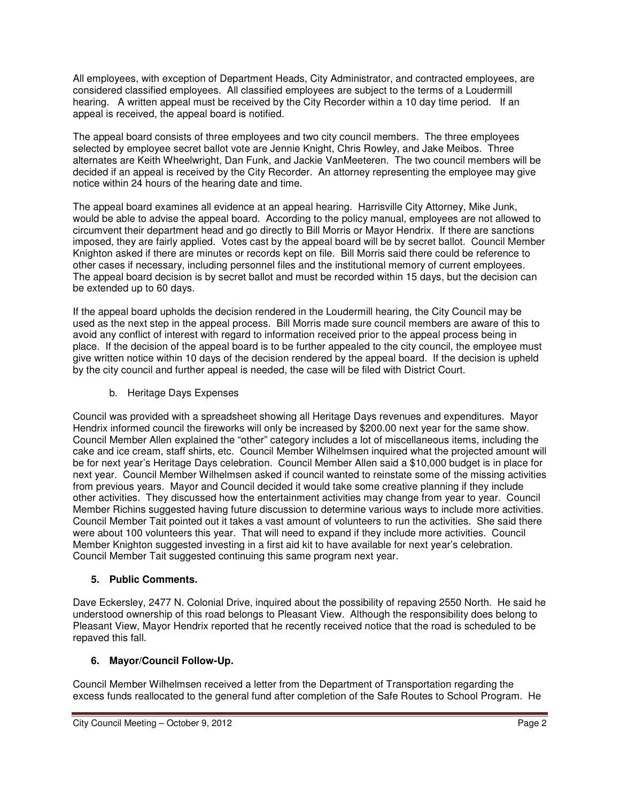All employees, with exception of Department Heads, City Administrator, and contracted employees, are considered classified employees. All classified employees are subject to the terms of a Loudermill hearing. A written appeal must be received by the City Recorder within a 10 day time period. If an appeal is received, the appeal board is notified.

The appeal board consists of three employees and two city council members. The three employees selected by employee secret ballot vote are Jennie Knight, Chris Rowley, and Jake Meibos. Three alternates are Keith Wheelwright, Dan Funk, and Jackie VanMeeteren. The two council members will be decided if an appeal is received by the City Recorder. An attorney representing the employee may give notice within 24 hours of the hearing date and time.

The appeal board examines all evidence at an appeal hearing. Harrisville City Attorney, Mike Junk, would be able to advise the appeal board. According to the policy manual, employees are not allowed to circumvent their department head and go directly to Bill Morris or Mayor Hendrix. If there are sanctions imposed, they are fairly applied. Votes cast by the appeal board will be by secret ballot. Council Member Knighton asked if there are minutes or records kept on file. Bill Morris said there could be reference to other cases if necessary, including personnel files and the institutional memory of current employees. The appeal board decision is by secret ballot and must be recorded within 15 days, but the decision can be extended up to 60 days.

If the appeal board upholds the decision rendered in the Loudermill hearing, the City Council may be used as the next step in the appeal process. Bill Morris made sure council members are aware of this to avoid any conflict of interest with regard to information received prior to the appeal process being in place. If the decision of the appeal board is to be further appealed to the city council, the employee must give written notice within 10 days of the decision rendered by the appeal board. If the decision is upheld by the city council and further appeal is needed, the case will be filed with District Court.

b. Heritage Days Expenses

Council was provided with a spreadsheet showing all Heritage Days revenues and expenditures. Mayor Hendrix informed council the fireworks will only be increased by \$200.00 next year for the same show. Council Member Allen explained the "other" category includes a lot of miscellaneous items, including the cake and ice cream, staff shirts, etc. Council Member Wilhelmsen inquired what the projected amount will be for next year's Heritage Days celebration. Council Member Allen said a \$10,000 budget is in place for next year. Council Member Wilhelmsen asked if council wanted to reinstate some of the missing activities from previous years. Mayor and Council decided it would take some creative planning if they include other activities. They discussed how the entertainment activities may change from year to year. Council Member Richins suggested having future discussion to determine various ways to include more activities. Council Member Tait pointed out it takes a vast amount of volunteers to run the activities. She said there were about 100 volunteers this year. That will need to expand if they include more activities. Council Member Knighton suggested investing in a first aid kit to have available for next year's celebration. Council Member Tait suggested continuing this same program next year.

## **5. Public Comments.**

Dave Eckersley, 2477 N. Colonial Drive, inquired about the possibility of repaving 2550 North. He said he understood ownership of this road belongs to Pleasant View. Although the responsibility does belong to Pleasant View, Mayor Hendrix reported that he recently received notice that the road is scheduled to be repaved this fall.

# **6. Mayor/Council Follow-Up.**

Council Member Wilhelmsen received a letter from the Department of Transportation regarding the excess funds reallocated to the general fund after completion of the Safe Routes to School Program. He